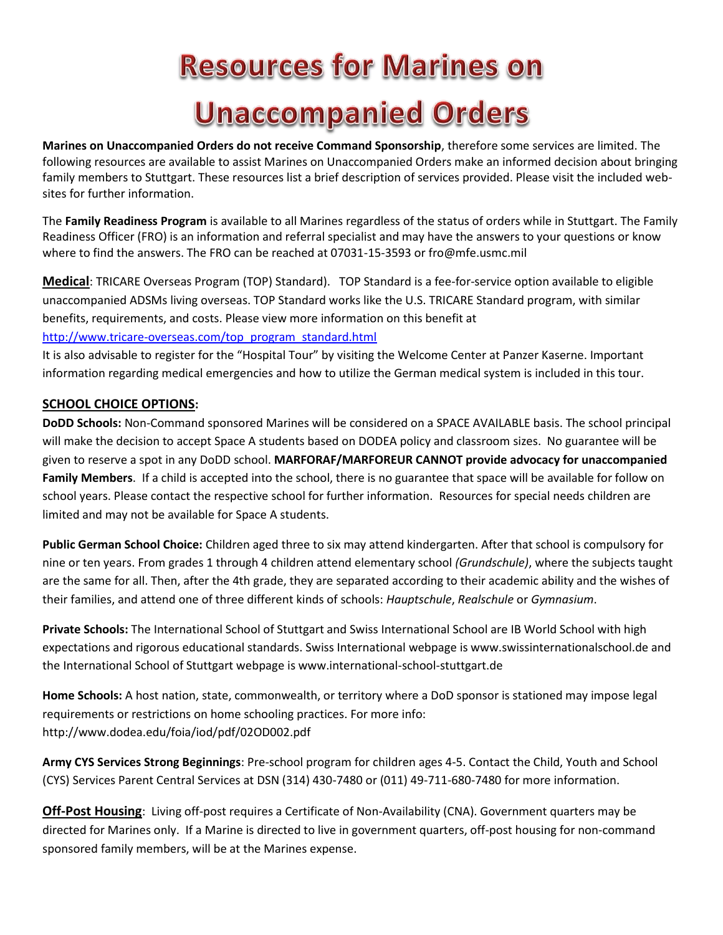## **Resources for Marines on Unaccompanied Orders**

**Marines on Unaccompanied Orders do not receive Command Sponsorship**, therefore some services are limited. The following resources are available to assist Marines on Unaccompanied Orders make an informed decision about bringing family members to Stuttgart. These resources list a brief description of services provided. Please visit the included websites for further information.

The **Family Readiness Program** is available to all Marines regardless of the status of orders while in Stuttgart. The Family Readiness Officer (FRO) is an information and referral specialist and may have the answers to your questions or know where to find the answers. The FRO can be reached at 07031-15-3593 or fro@mfe.usmc.mil

**Medical**: TRICARE Overseas Program (TOP) Standard). TOP Standard is a fee-for-service option available to eligible unaccompanied ADSMs living overseas. TOP Standard works like the U.S. TRICARE Standard program, with similar benefits, requirements, and costs. Please view more information on this benefit at [http://www.tricare-overseas.com/top\\_program\\_standard.html](http://www.tricare-overseas.com/top_program_standard.html) 

It is also advisable to register for the "Hospital Tour" by visiting the Welcome Center at Panzer Kaserne. Important information regarding medical emergencies and how to utilize the German medical system is included in this tour.

## **SCHOOL CHOICE OPTIONS:**

**DoDD Schools:** Non-Command sponsored Marines will be considered on a SPACE AVAILABLE basis. The school principal will make the decision to accept Space A students based on DODEA policy and classroom sizes. No guarantee will be given to reserve a spot in any DoDD school. **MARFORAF/MARFOREUR CANNOT provide advocacy for unaccompanied Family Members**. If a child is accepted into the school, there is no guarantee that space will be available for follow on school years. Please contact the respective school for further information. Resources for special needs children are limited and may not be available for Space A students.

**Public German School Choice:** Children aged three to six may attend kindergarten. After that school is compulsory for nine or ten years. From grades 1 through 4 children attend elementary school *(Grundschule)*, where the subjects taught are the same for all. Then, after the 4th grade, they are separated according to their academic ability and the wishes of their families, and attend one of three different kinds of schools: *Hauptschule*, *Realschule* or *Gymnasium*.

**Private Schools:** The International School of Stuttgart and Swiss International School are IB World School with high expectations and rigorous educational standards. Swiss International webpage is www.swissinternationalschool.de and the International School of Stuttgart webpage is www.international-school-stuttgart.de

**Home Schools:** A host nation, state, commonwealth, or territory where a DoD sponsor is stationed may impose legal requirements or restrictions on home schooling practices. For more info: http://www.dodea.edu/foia/iod/pdf/02OD002.pdf

**Army CYS Services Strong Beginnings**: Pre-school program for children ages 4-5. Contact the Child, Youth and School (CYS) Services Parent Central Services at DSN (314) 430-7480 or (011) 49-711-680-7480 for more information.

**Off-Post Housing**: Living off-post requires a Certificate of Non-Availability (CNA). Government quarters may be directed for Marines only. If a Marine is directed to live in government quarters, off-post housing for non-command sponsored family members, will be at the Marines expense.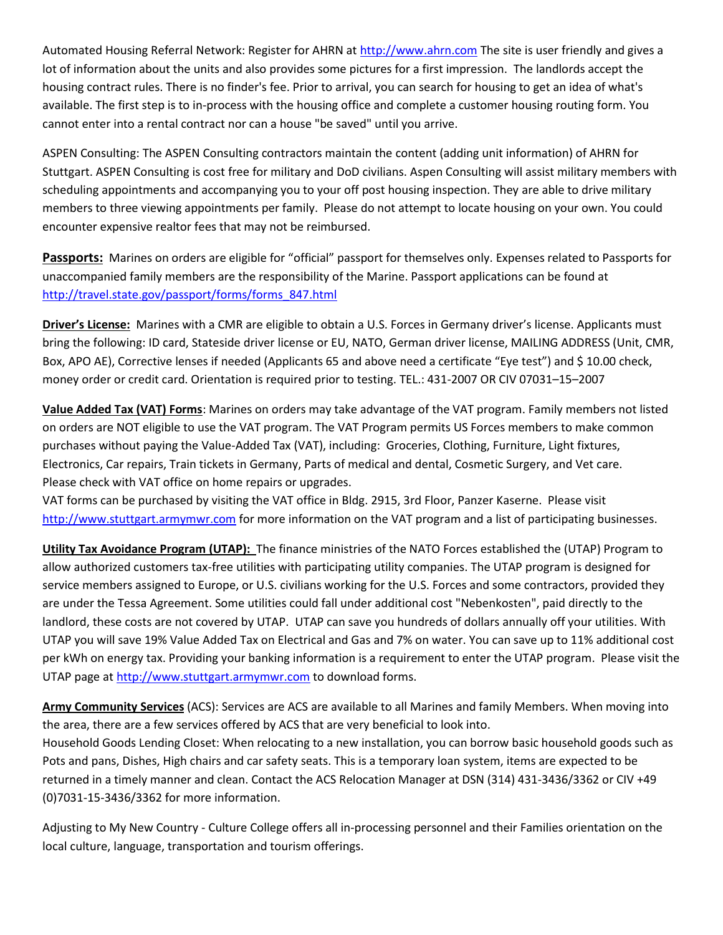Automated Housing Referral Network: Register for AHRN at [http://www.ahrn.com](http://www.ahrn.com/) The site is user friendly and gives a lot of information about the units and also provides some pictures for a first impression. The landlords accept the housing contract rules. There is no finder's fee. Prior to arrival, you can search for housing to get an idea of what's available. The first step is to in-process with the housing office and complete a customer housing routing form. You cannot enter into a rental contract nor can a house "be saved" until you arrive.

ASPEN Consulting: The ASPEN Consulting contractors maintain the content (adding unit information) of AHRN for Stuttgart. ASPEN Consulting is cost free for military and DoD civilians. Aspen Consulting will assist military members with scheduling appointments and accompanying you to your off post housing inspection. They are able to drive military members to three viewing appointments per family. Please do not attempt to locate housing on your own. You could encounter expensive realtor fees that may not be reimbursed.

**Passports:** Marines on orders are eligible for "official" passport for themselves only. Expenses related to Passports for unaccompanied family members are the responsibility of the Marine. Passport applications can be found at [http://travel.state.gov/passport/forms/forms\\_847.html](http://travel.state.gov/passport/forms/forms_847.html)

**Driver's License:** Marines with a CMR are eligible to obtain a U.S. Forces in Germany driver's license. Applicants must bring the following: ID card, Stateside driver license or EU, NATO, German driver license, MAILING ADDRESS (Unit, CMR, Box, APO AE), Corrective lenses if needed (Applicants 65 and above need a certificate "Eye test") and \$ 10.00 check, money order or credit card. Orientation is required prior to testing. TEL.: 431-2007 OR CIV 07031–15–2007

**Value Added Tax (VAT) Forms**: Marines on orders may take advantage of the VAT program. Family members not listed on orders are NOT eligible to use the VAT program. The VAT Program permits US Forces members to make common purchases without paying the Value-Added Tax (VAT), including: Groceries, Clothing, Furniture, Light fixtures, Electronics, Car repairs, Train tickets in Germany, Parts of medical and dental, Cosmetic Surgery, and Vet care. Please check with VAT office on home repairs or upgrades.

VAT forms can be purchased by visiting the VAT office in Bldg. 2915, 3rd Floor, Panzer Kaserne. Please visit [http://www.stuttgart.armymwr.com](http://www.stuttgart.armymwr.com/) for more information on the VAT program and a list of participating businesses.

**Utility Tax Avoidance Program (UTAP):** The finance ministries of the NATO Forces established the (UTAP) Program to allow authorized customers tax-free utilities with participating utility companies. The UTAP program is designed for service members assigned to Europe, or U.S. civilians working for the U.S. Forces and some contractors, provided they are under the Tessa Agreement. Some utilities could fall under additional cost "Nebenkosten", paid directly to the landlord, these costs are not covered by UTAP. UTAP can save you hundreds of dollars annually off your utilities. With UTAP you will save 19% Value Added Tax on Electrical and Gas and 7% on water. You can save up to 11% additional cost per kWh on energy tax. Providing your banking information is a requirement to enter the UTAP program. Please visit the UTAP page a[t http://www.stuttgart.armymwr.com](http://www.stuttgart.armymwr.com/) to download forms.

**Army Community Services** (ACS): Services are ACS are available to all Marines and family Members. When moving into the area, there are a few services offered by ACS that are very beneficial to look into.

Household Goods Lending Closet: When relocating to a new installation, you can borrow basic household goods such as Pots and pans, Dishes, High chairs and car safety seats. This is a temporary loan system, items are expected to be returned in a timely manner and clean. Contact the ACS Relocation Manager at DSN (314) 431-3436/3362 or CIV +49 (0)7031-15-3436/3362 for more information.

Adjusting to My New Country - Culture College offers all in-processing personnel and their Families orientation on the local culture, language, transportation and tourism offerings.